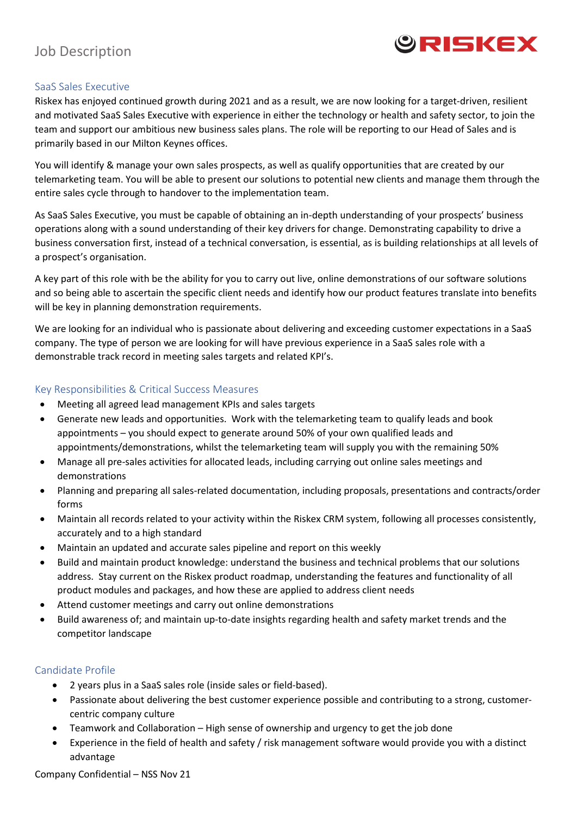

# Job Description

#### SaaS Sales Executive

Riskex has enjoyed continued growth during 2021 and as a result, we are now looking for a target-driven, resilient and motivated SaaS Sales Executive with experience in either the technology or health and safety sector, to join the team and support our ambitious new business sales plans. The role will be reporting to our Head of Sales and is primarily based in our Milton Keynes offices.

You will identify & manage your own sales prospects, as well as qualify opportunities that are created by our telemarketing team. You will be able to present our solutions to potential new clients and manage them through the entire sales cycle through to handover to the implementation team.

As SaaS Sales Executive, you must be capable of obtaining an in-depth understanding of your prospects' business operations along with a sound understanding of their key drivers for change. Demonstrating capability to drive a business conversation first, instead of a technical conversation, is essential, as is building relationships at all levels of a prospect's organisation.

A key part of this role with be the ability for you to carry out live, online demonstrations of our software solutions and so being able to ascertain the specific client needs and identify how our product features translate into benefits will be key in planning demonstration requirements.

We are looking for an individual who is passionate about delivering and exceeding customer expectations in a SaaS company. The type of person we are looking for will have previous experience in a SaaS sales role with a demonstrable track record in meeting sales targets and related KPI's.

#### Key Responsibilities & Critical Success Measures

- Meeting all agreed lead management KPIs and sales targets
- Generate new leads and opportunities. Work with the telemarketing team to qualify leads and book appointments – you should expect to generate around 50% of your own qualified leads and appointments/demonstrations, whilst the telemarketing team will supply you with the remaining 50%
- Manage all pre-sales activities for allocated leads, including carrying out online sales meetings and demonstrations
- Planning and preparing all sales-related documentation, including proposals, presentations and contracts/order forms
- Maintain all records related to your activity within the Riskex CRM system, following all processes consistently, accurately and to a high standard
- Maintain an updated and accurate sales pipeline and report on this weekly
- Build and maintain product knowledge: understand the business and technical problems that our solutions address. Stay current on the Riskex product roadmap, understanding the features and functionality of all product modules and packages, and how these are applied to address client needs
- Attend customer meetings and carry out online demonstrations
- Build awareness of; and maintain up-to-date insights regarding health and safety market trends and the competitor landscape

#### Candidate Profile

- 2 years plus in a SaaS sales role (inside sales or field-based).
- Passionate about delivering the best customer experience possible and contributing to a strong, customercentric company culture
- Teamwork and Collaboration High sense of ownership and urgency to get the job done
- Experience in the field of health and safety / risk management software would provide you with a distinct advantage

Company Confidential – NSS Nov 21